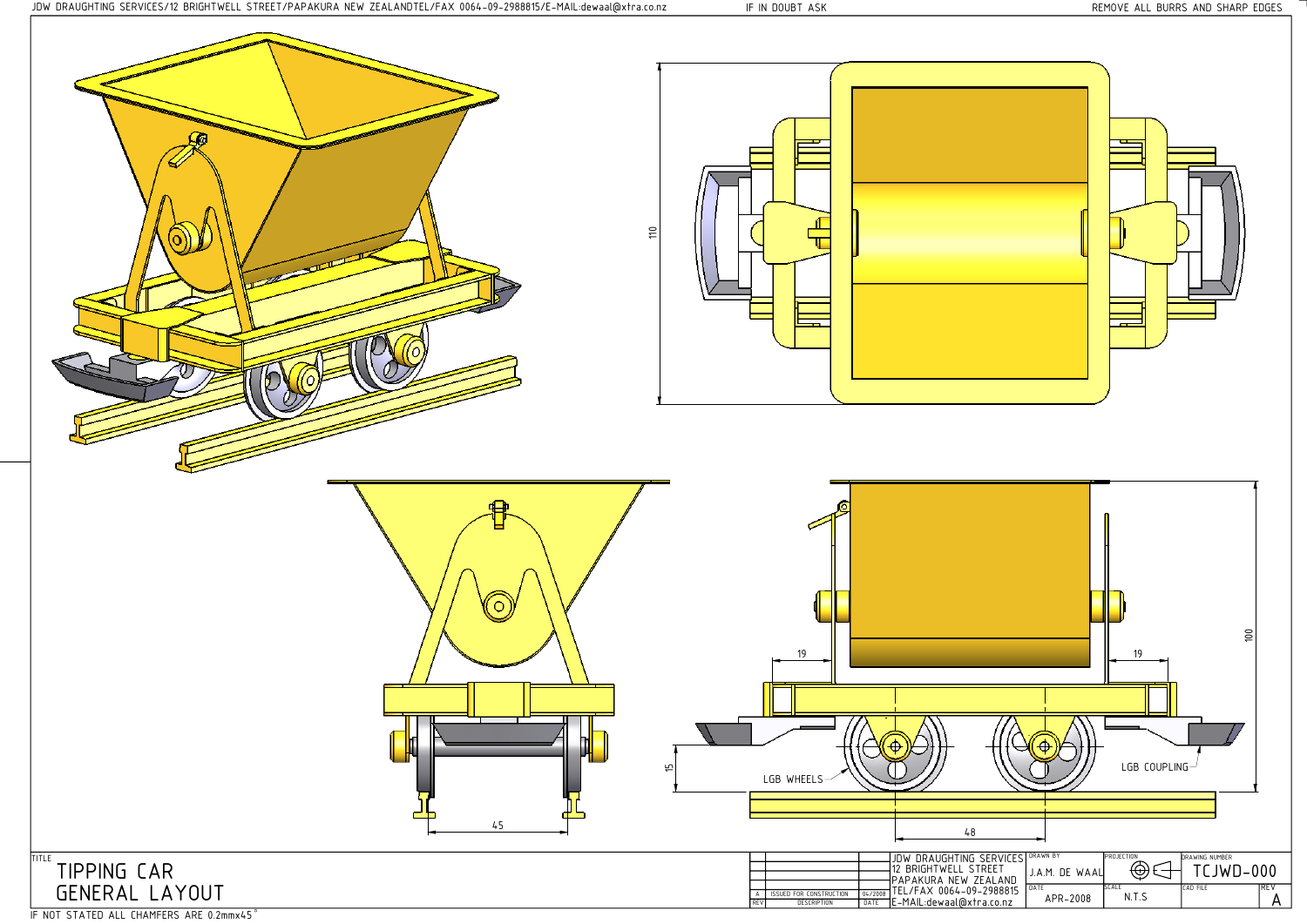JDW DRAUGHTING SERVICES/12 BRIGHTWELL STREET/PAPAKURA NEW ZEALANDTEL/FAX 0064-09-2988815/E-MAIL:dewaal@xtra.co.nz IF IN DOUBT ASK REMOVE ALL BURRS AND SHARP EDGES

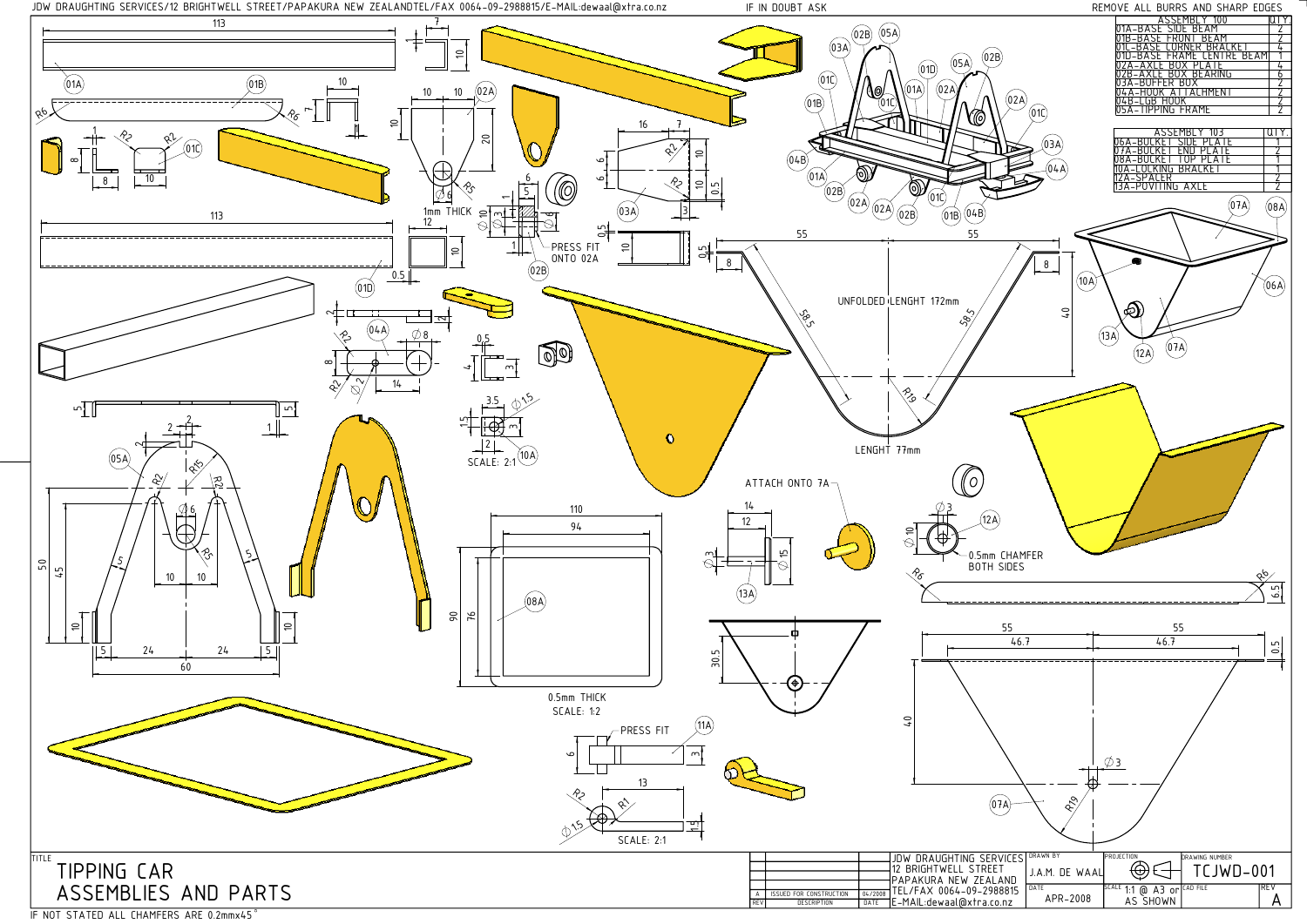8

1

6े

R2

 $\overline{10}$ 

2

R2

 $\sim$ 

45

50

5

 $(05A)$ 

TITLE





IF NOT STATED ALL CHAMFERS ARE 0.2mmx45°

 $\widehat{O(1)}$ 

 $^{\circ}$ 

 $\approx$ 

ഗ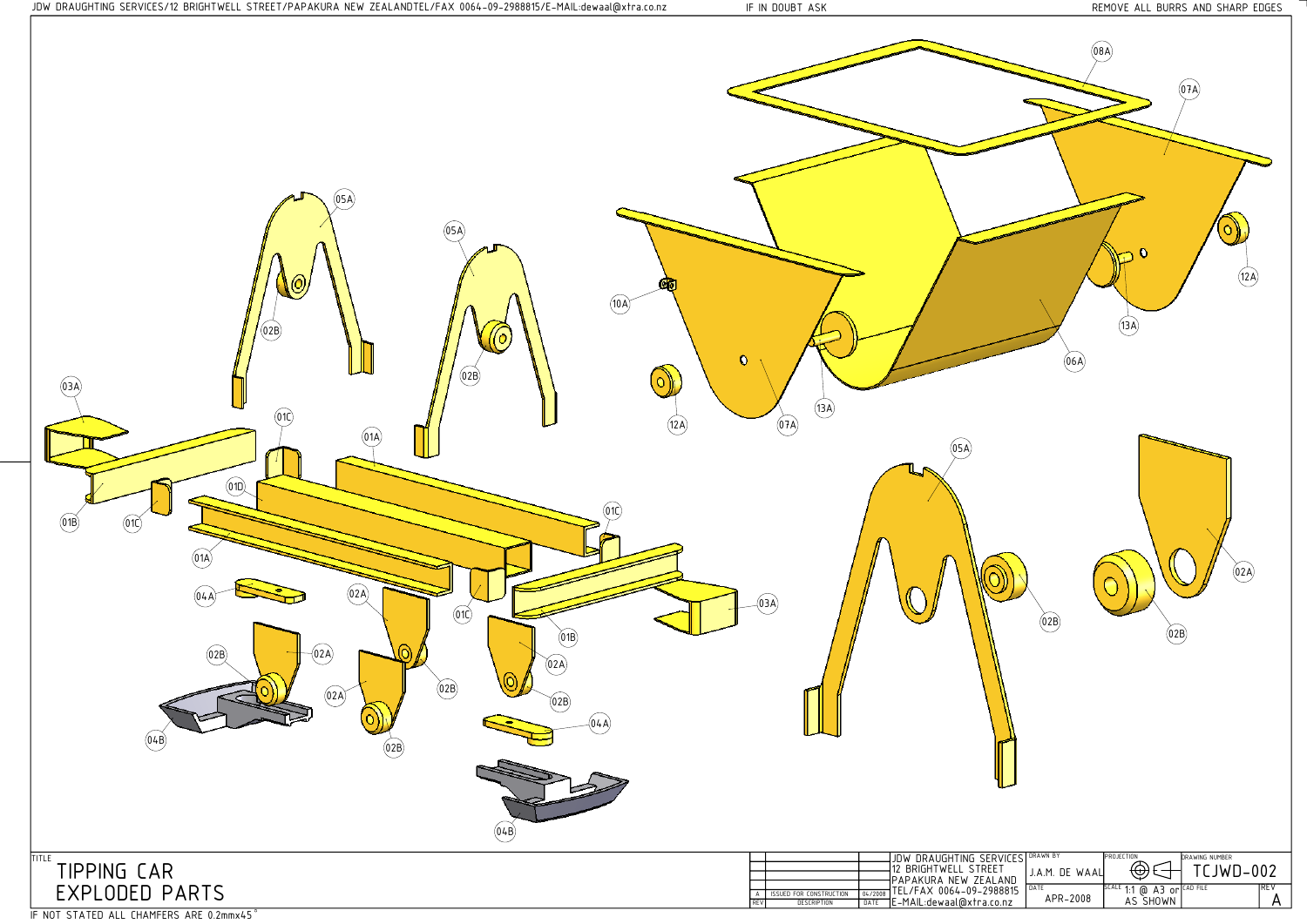